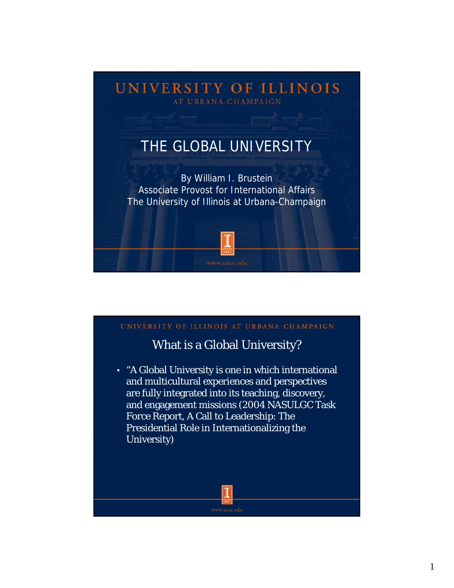

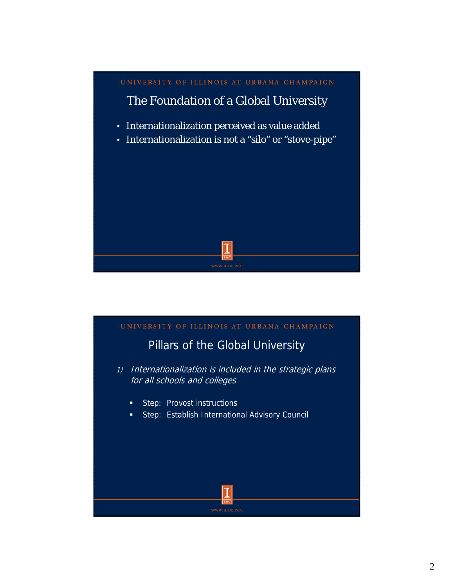

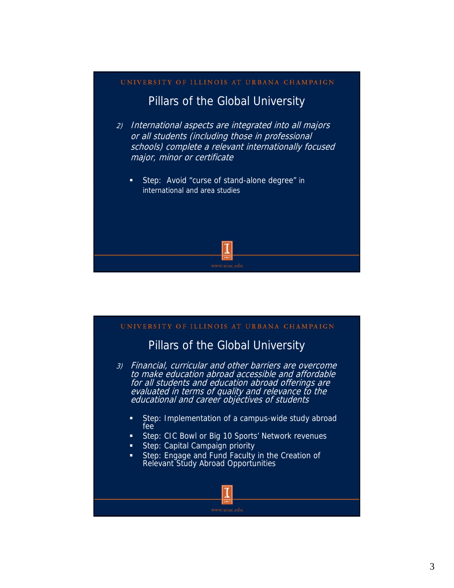## UNIVERSITY OF ILLINOIS AT URBANA-CHAMPAIGN Pillars of the Global University 2) International aspects are integrated into all majors or all students (including those in professional schools) complete a relevant internationally focused major, minor or certificate **Step: Avoid "curse of stand-alone degree" in** international and area studies

#### UNIVERSITY OF ILLINOIS AT URBANA-CHAMPAIGN

## Pillars of the Global University

- 3) Financial, curricular and other barriers are overcome to make education abroad accessible and affordable for all students and education abroad offerings are evaluated in terms of quality and relevance to the educational and career objectives of students
	- **Step: Implementation of a campus-wide study abroad** fee
	- Step: CIC Bowl or Big 10 Sports' Network revenues
	- Step: Capital Campaign priority
	- **Step: Engage and Fund Faculty in the Creation of** Relevant Study Abroad Opportunities

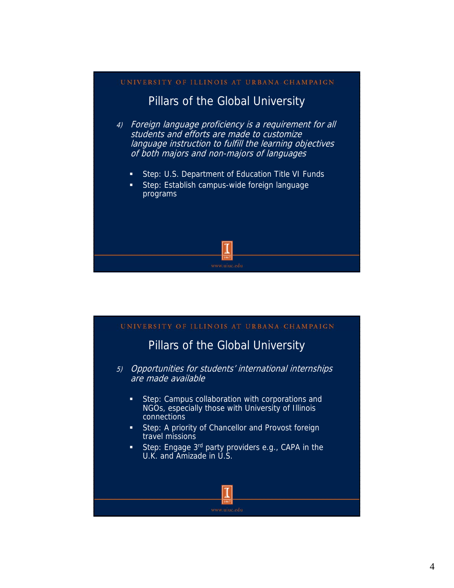# UNIVERSITY OF ILLINOIS AT URBANA-CHAMPAIGN Pillars of the Global University 4) Foreign language proficiency is a requirement for all students and efforts are made to customize language instruction to fulfill the learning objectives of both majors and non-majors of languages **Step: U.S. Department of Education Title VI Funds**  Step: Establish campus-wide foreign language programs

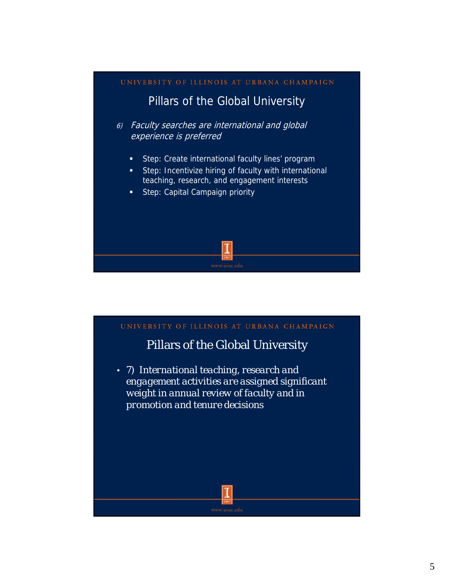#### UNIVERSITY OF ILLINOIS AT URBANA-CHAMPAIGN

### Pillars of the Global University

- 6) Faculty searches are international and global experience is preferred
	- **Step: Create international faculty lines' program**
	- **Step: Incentivize hiring of faculty with international** teaching, research, and engagement interests
	- **Step: Capital Campaign priority**

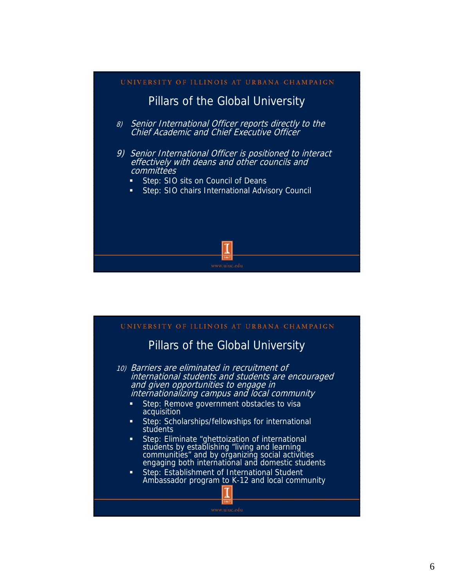

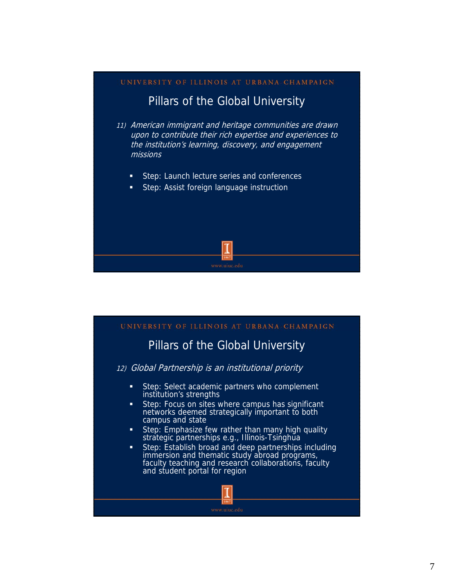# UNIVERSITY OF ILLINOIS AT URBANA-CHAMPAIGN Pillars of the Global University 11) American immigrant and heritage communities are drawn upon to contribute their rich expertise and experiences to the institution's learning, discovery, and engagement missions **Step: Launch lecture series and conferences** Step: Assist foreign language instruction